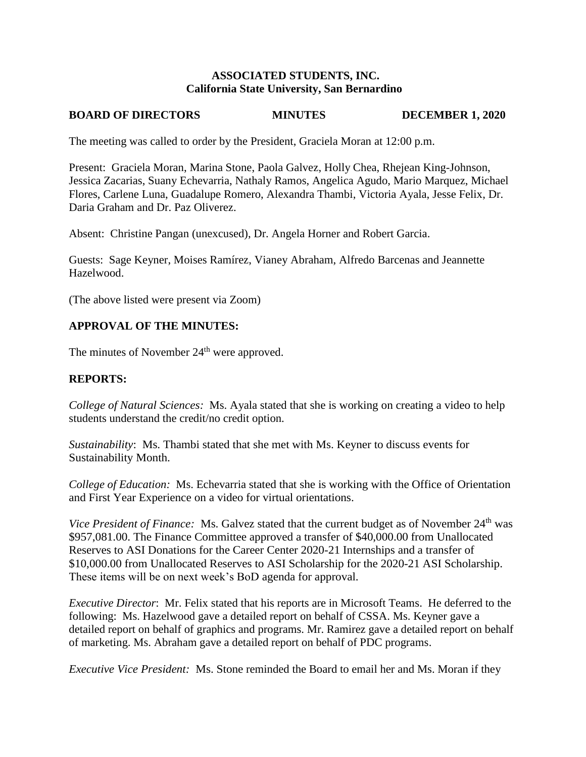## **ASSOCIATED STUDENTS, INC. California State University, San Bernardino**

# **BOARD OF DIRECTORS MINUTES DECEMBER 1, 2020**

The meeting was called to order by the President, Graciela Moran at 12:00 p.m.

Present: Graciela Moran, Marina Stone, Paola Galvez, Holly Chea, Rhejean King-Johnson, Jessica Zacarias, Suany Echevarria, Nathaly Ramos, Angelica Agudo, Mario Marquez, Michael Flores, Carlene Luna, Guadalupe Romero, Alexandra Thambi, Victoria Ayala, Jesse Felix, Dr. Daria Graham and Dr. Paz Oliverez.

Absent: Christine Pangan (unexcused), Dr. Angela Horner and Robert Garcia.

Guests: Sage Keyner, Moises Ramírez, Vianey Abraham, Alfredo Barcenas and Jeannette Hazelwood.

(The above listed were present via Zoom)

# **APPROVAL OF THE MINUTES:**

The minutes of November 24<sup>th</sup> were approved.

# **REPORTS:**

*College of Natural Sciences:* Ms. Ayala stated that she is working on creating a video to help students understand the credit/no credit option.

*Sustainability*: Ms. Thambi stated that she met with Ms. Keyner to discuss events for Sustainability Month.

*College of Education:* Ms. Echevarria stated that she is working with the Office of Orientation and First Year Experience on a video for virtual orientations.

*Vice President of Finance:* Ms. Galvez stated that the current budget as of November 24<sup>th</sup> was \$957,081.00. The Finance Committee approved a transfer of \$40,000.00 from Unallocated Reserves to ASI Donations for the Career Center 2020-21 Internships and a transfer of \$10,000.00 from Unallocated Reserves to ASI Scholarship for the 2020-21 ASI Scholarship. These items will be on next week's BoD agenda for approval.

*Executive Director*: Mr. Felix stated that his reports are in Microsoft Teams. He deferred to the following: Ms. Hazelwood gave a detailed report on behalf of CSSA. Ms. Keyner gave a detailed report on behalf of graphics and programs. Mr. Ramirez gave a detailed report on behalf of marketing. Ms. Abraham gave a detailed report on behalf of PDC programs.

*Executive Vice President:* Ms. Stone reminded the Board to email her and Ms. Moran if they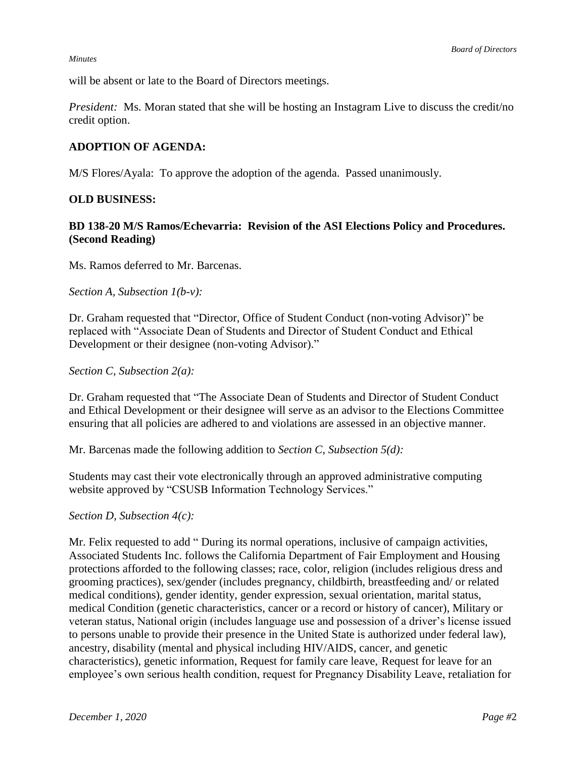#### *Minutes*

will be absent or late to the Board of Directors meetings.

*President:* Ms. Moran stated that she will be hosting an Instagram Live to discuss the credit/no credit option.

## **ADOPTION OF AGENDA:**

M/S Flores/Ayala: To approve the adoption of the agenda. Passed unanimously.

## **OLD BUSINESS:**

# **BD 138-20 M/S Ramos/Echevarria: Revision of the ASI Elections Policy and Procedures. (Second Reading)**

Ms. Ramos deferred to Mr. Barcenas.

### *Section A, Subsection 1(b-v):*

Dr. Graham requested that "Director, Office of Student Conduct (non-voting Advisor)" be replaced with "Associate Dean of Students and Director of Student Conduct and Ethical Development or their designee (non-voting Advisor)."

### *Section C, Subsection 2(a):*

Dr. Graham requested that "The Associate Dean of Students and Director of Student Conduct and Ethical Development or their designee will serve as an advisor to the Elections Committee ensuring that all policies are adhered to and violations are assessed in an objective manner.

Mr. Barcenas made the following addition to *Section C, Subsection 5(d):*

Students may cast their vote electronically through an approved administrative computing website approved by "CSUSB Information Technology Services."

## *Section D, Subsection 4(c):*

Mr. Felix requested to add " During its normal operations, inclusive of campaign activities, Associated Students Inc. follows the California Department of Fair Employment and Housing protections afforded to the following classes; race, color, religion (includes religious dress and grooming practices), sex/gender (includes pregnancy, childbirth, breastfeeding and/ or related medical conditions), gender identity, gender expression, sexual orientation, marital status, medical Condition (genetic characteristics, cancer or a record or history of cancer), Military or veteran status, National origin (includes language use and possession of a driver's license issued to persons unable to provide their presence in the United State is authorized under federal law), ancestry, disability (mental and physical including HIV/AIDS, cancer, and genetic characteristics), genetic information, Request for family care leave, Request for leave for an employee's own serious health condition, request for Pregnancy Disability Leave, retaliation for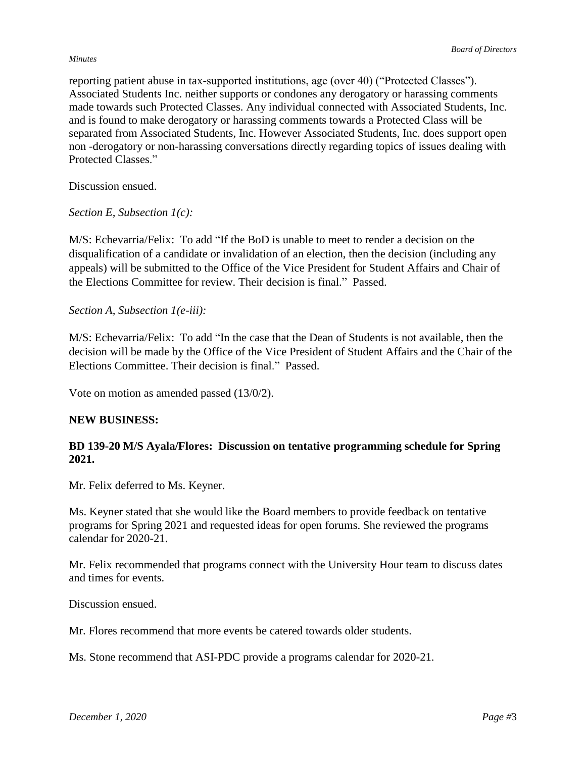#### *Board of Directors*

#### *Minutes*

reporting patient abuse in tax-supported institutions, age (over 40) ("Protected Classes"). Associated Students Inc. neither supports or condones any derogatory or harassing comments made towards such Protected Classes. Any individual connected with Associated Students, Inc. and is found to make derogatory or harassing comments towards a Protected Class will be separated from Associated Students, Inc. However Associated Students, Inc. does support open non -derogatory or non-harassing conversations directly regarding topics of issues dealing with Protected Classes."

Discussion ensued.

*Section E, Subsection 1(c):*

M/S: Echevarria/Felix: To add "If the BoD is unable to meet to render a decision on the disqualification of a candidate or invalidation of an election, then the decision (including any appeals) will be submitted to the Office of the Vice President for Student Affairs and Chair of the Elections Committee for review. Their decision is final." Passed.

*Section A, Subsection 1(e-iii):*

M/S: Echevarria/Felix: To add "In the case that the Dean of Students is not available, then the decision will be made by the Office of the Vice President of Student Affairs and the Chair of the Elections Committee. Their decision is final." Passed.

Vote on motion as amended passed (13/0/2).

### **NEW BUSINESS:**

## **BD 139-20 M/S Ayala/Flores: Discussion on tentative programming schedule for Spring 2021.**

Mr. Felix deferred to Ms. Keyner.

Ms. Keyner stated that she would like the Board members to provide feedback on tentative programs for Spring 2021 and requested ideas for open forums. She reviewed the programs calendar for 2020-21.

Mr. Felix recommended that programs connect with the University Hour team to discuss dates and times for events.

Discussion ensued.

Mr. Flores recommend that more events be catered towards older students.

Ms. Stone recommend that ASI-PDC provide a programs calendar for 2020-21.